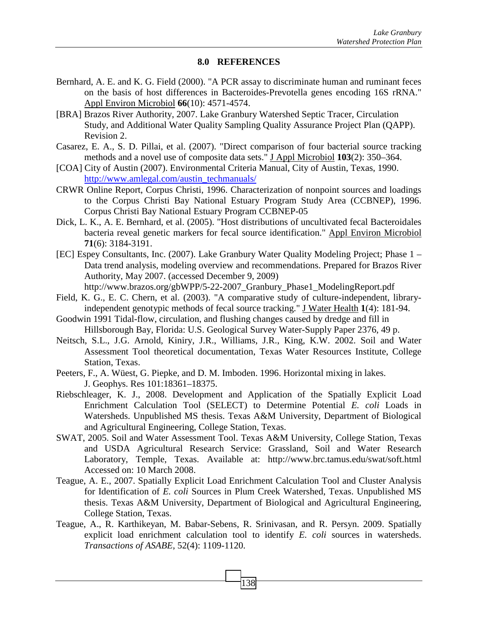## **8.0 REFERENCES**

- Bernhard, A. E. and K. G. Field (2000). "A PCR assay to discriminate human and ruminant feces on the basis of host differences in Bacteroides-Prevotella genes encoding 16S rRNA." Appl Environ Microbiol **66**(10): 4571-4574.
- [BRA] Brazos River Authority, 2007. Lake Granbury Watershed Septic Tracer, Circulation Study, and Additional Water Quality Sampling Quality Assurance Project Plan (QAPP). Revision 2.
- Casarez, E. A., S. D. Pillai, et al. (2007). "Direct comparison of four bacterial source tracking methods and a novel use of composite data sets." J Appl Microbiol **103**(2): 350–364.
- [COA] City of Austin (2007). Environmental Criteria Manual, City of Austin, Texas, 1990. http://www.amlegal.com/austin\_techmanuals/
- CRWR Online Report, Corpus Christi, 1996. Characterization of nonpoint sources and loadings to the Corpus Christi Bay National Estuary Program Study Area (CCBNEP), 1996. Corpus Christi Bay National Estuary Program CCBNEP-05
- Dick, L. K., A. E. Bernhard, et al. (2005). "Host distributions of uncultivated fecal Bacteroidales bacteria reveal genetic markers for fecal source identification." Appl Environ Microbiol **71**(6): 3184-3191.
- [EC] Espey Consultants, Inc. (2007). Lake Granbury Water Quality Modeling Project; Phase 1 Data trend analysis, modeling overview and recommendations. Prepared for Brazos River Authority, May 2007. (accessed December 9, 2009) http://www.brazos.org/gbWPP/5-22-2007\_Granbury\_Phase1\_ModelingReport.pdf
- Field, K. G., E. C. Chern, et al. (2003). "A comparative study of culture-independent, library-
- independent genotypic methods of fecal source tracking." J Water Health **1**(4): 181-94.
- Goodwin 1991 Tidal-flow, circulation, and flushing changes caused by dredge and fill in Hillsborough Bay, Florida: U.S. Geological Survey Water-Supply Paper 2376, 49 p.
- Neitsch, S.L., J.G. Arnold, Kiniry, J.R., Williams, J.R., King, K.W. 2002. Soil and Water Assessment Tool theoretical documentation, Texas Water Resources Institute, College Station, Texas.
- Peeters, F., A. Wüest, G. Piepke, and D. M. Imboden. 1996. Horizontal mixing in lakes. J. Geophys. Res 101:18361–18375.
- Riebschleager, K. J., 2008. Development and Application of the Spatially Explicit Load Enrichment Calculation Tool (SELECT) to Determine Potential *E. coli* Loads in Watersheds. Unpublished MS thesis. Texas A&M University, Department of Biological and Agricultural Engineering, College Station, Texas.
- SWAT, 2005. Soil and Water Assessment Tool. Texas A&M University, College Station, Texas and USDA Agricultural Research Service: Grassland, Soil and Water Research Laboratory, Temple, Texas. Available at: http://www.brc.tamus.edu/swat/soft.html Accessed on: 10 March 2008.
- Teague, A. E., 2007. Spatially Explicit Load Enrichment Calculation Tool and Cluster Analysis for Identification of *E. coli* Sources in Plum Creek Watershed, Texas. Unpublished MS thesis. Texas A&M University, Department of Biological and Agricultural Engineering, College Station, Texas.
- Teague, A., R. Karthikeyan, M. Babar-Sebens, R. Srinivasan, and R. Persyn. 2009. Spatially explicit load enrichment calculation tool to identify *E. coli* sources in watersheds. *Transactions of ASABE*, 52(4): 1109-1120.